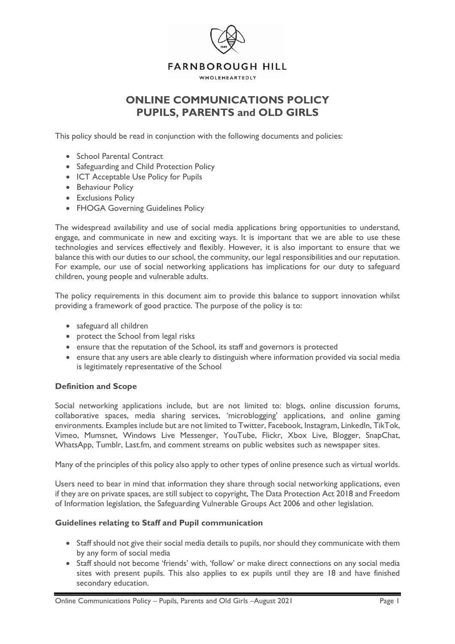

# **ONLINE COMMUNICATIONS POLICY PUPILS, PARENTS and OLD GIRLS**

This policy should be read in conjunction with the following documents and policies:

- School Parental Contract
- Safeguarding and Child Protection Policy
- ICT Acceptable Use Policy for Pupils
- Behaviour Policy
- Exclusions Policy
- FHOGA Governing Guidelines Policy

The widespread availability and use of social media applications bring opportunities to understand, engage, and communicate in new and exciting ways. It is important that we are able to use these technologies and services effectively and flexibly. However, it is also important to ensure that we balance this with our duties to our school, the community, our legal responsibilities and our reputation. For example, our use of social networking applications has implications for our duty to safeguard children, young people and vulnerable adults.

The policy requirements in this document aim to provide this balance to support innovation whilst providing a framework of good practice. The purpose of the policy is to:

- safeguard all children
- protect the School from legal risks
- ensure that the reputation of the School, its staff and governors is protected
- ensure that any users are able clearly to distinguish where information provided via social media is legitimately representative of the School

## **Definition and Scope**

Social networking applications include, but are not limited to: blogs, online discussion forums, collaborative spaces, media sharing services, 'microblogging' applications, and online gaming environments. Examples include but are not limited to Twitter, Facebook, Instagram, LinkedIn, TikTok, Vimeo, Mumsnet, Windows Live Messenger, YouTube, Flickr, Xbox Live, Blogger, SnapChat, WhatsApp, Tumblr, Last.fm, and comment streams on public websites such as newspaper sites.

Many of the principles of this policy also apply to other types of online presence such as virtual worlds.

Users need to bear in mind that information they share through social networking applications, even if they are on private spaces, are still subject to copyright, The Data Protection Act 2018 and Freedom of Information legislation, the Safeguarding Vulnerable Groups Act 2006 and other legislation.

## **Guidelines relating to Staff and Pupil communication**

- Staff should not give their social media details to pupils, nor should they communicate with them by any form of social media
- Staff should not become 'friends' with, 'follow' or make direct connections on any social media sites with present pupils. This also applies to ex pupils until they are 18 and have finished secondary education.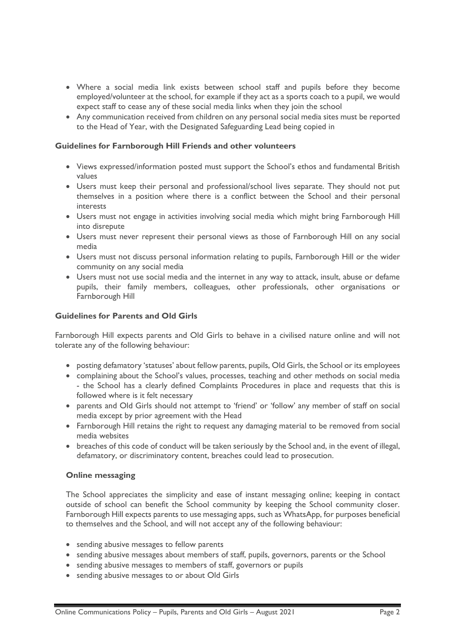- Where a social media link exists between school staff and pupils before they become employed/volunteer at the school, for example if they act as a sports coach to a pupil, we would expect staff to cease any of these social media links when they join the school
- Any communication received from children on any personal social media sites must be reported to the Head of Year, with the Designated Safeguarding Lead being copied in

### **Guidelines for Farnborough Hill Friends and other volunteers**

- Views expressed/information posted must support the School's ethos and fundamental British values
- Users must keep their personal and professional/school lives separate. They should not put themselves in a position where there is a conflict between the School and their personal interests
- Users must not engage in activities involving social media which might bring Farnborough Hill into disrepute
- Users must never represent their personal views as those of Farnborough Hill on any social media
- Users must not discuss personal information relating to pupils, Farnborough Hill or the wider community on any social media
- Users must not use social media and the internet in any way to attack, insult, abuse or defame pupils, their family members, colleagues, other professionals, other organisations or Farnborough Hill

### **Guidelines for Parents and Old Girls**

Farnborough Hill expects parents and Old Girls to behave in a civilised nature online and will not tolerate any of the following behaviour:

- posting defamatory 'statuses' about fellow parents, pupils, Old Girls, the School or its employees
- complaining about the School's values, processes, teaching and other methods on social media - the School has a clearly defined Complaints Procedures in place and requests that this is followed where is it felt necessary
- parents and Old Girls should not attempt to 'friend' or 'follow' any member of staff on social media except by prior agreement with the Head
- Farnborough Hill retains the right to request any damaging material to be removed from social media websites
- breaches of this code of conduct will be taken seriously by the School and, in the event of illegal, defamatory, or discriminatory content, breaches could lead to prosecution.

#### **Online messaging**

The School appreciates the simplicity and ease of instant messaging online; keeping in contact outside of school can benefit the School community by keeping the School community closer. Farnborough Hill expects parents to use messaging apps, such as WhatsApp, for purposes beneficial to themselves and the School, and will not accept any of the following behaviour:

- sending abusive messages to fellow parents
- sending abusive messages about members of staff, pupils, governors, parents or the School
- sending abusive messages to members of staff, governors or pupils
- sending abusive messages to or about Old Girls